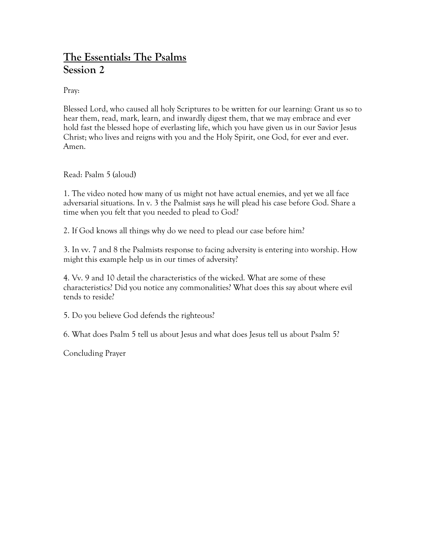## **The Essentials: The Psalms Session 2**

Pray:

Blessed Lord, who caused all holy Scriptures to be written for our learning: Grant us so to hear them, read, mark, learn, and inwardly digest them, that we may embrace and ever hold fast the blessed hope of everlasting life, which you have given us in our Savior Jesus Christ; who lives and reigns with you and the Holy Spirit, one God, for ever and ever. Amen.

Read: Psalm 5 (aloud)

1. The video noted how many of us might not have actual enemies, and yet we all face adversarial situations. In v. 3 the Psalmist says he will plead his case before God. Share a time when you felt that you needed to plead to God?

2. If God knows all things why do we need to plead our case before him?

3. In vv. 7 and 8 the Psalmists response to facing adversity is entering into worship. How might this example help us in our times of adversity?

4. Vv. 9 and 10 detail the characteristics of the wicked. What are some of these characteristics? Did you notice any commonalities? What does this say about where evil tends to reside?

5. Do you believe God defends the righteous?

6. What does Psalm 5 tell us about Jesus and what does Jesus tell us about Psalm 5?

Concluding Prayer